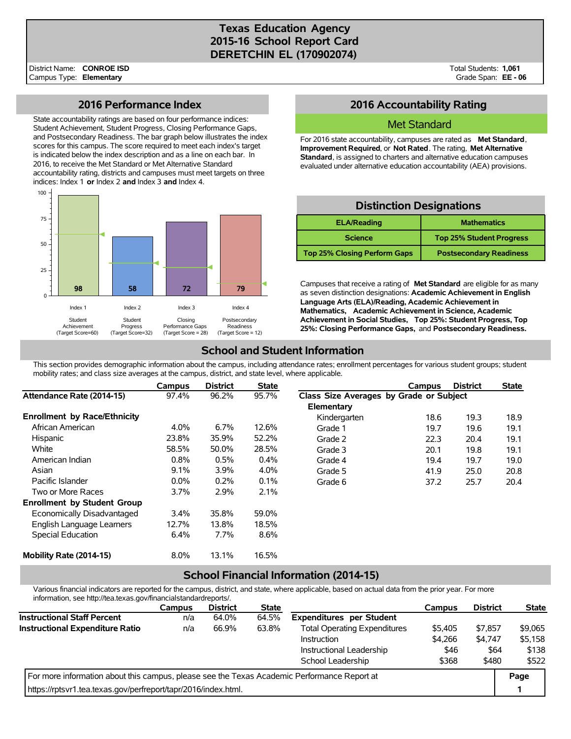# **Texas Education Agency 2015-16 School Report Card DERETCHIN EL (170902074)**

District Name: Campus Type: **Elementary CONROE ISD** Total Students: **1,061** Grade Span: **EE - 06**

### **2016 Performance Index**

State accountability ratings are based on four performance indices: Student Achievement, Student Progress, Closing Performance Gaps, and Postsecondary Readiness. The bar graph below illustrates the index scores for this campus. The score required to meet each index's target is indicated below the index description and as a line on each bar. In 2016, to receive the Met Standard or Met Alternative Standard accountability rating, districts and campuses must meet targets on three indices: Index 1 **or** Index 2 **and** Index 3 **and** Index 4.



## **2016 Accountability Rating**

#### Met Standard

For 2016 state accountability, campuses are rated as **Met Standard**, **Improvement Required**, or **Not Rated**. The rating, **Met Alternative Standard**, is assigned to charters and alternative education campuses evaluated under alternative education accountability (AEA) provisions.

## **Distinction Designations**

| <b>ELA/Reading</b>                  | <b>Mathematics</b>              |  |  |  |  |
|-------------------------------------|---------------------------------|--|--|--|--|
| <b>Science</b>                      | <b>Top 25% Student Progress</b> |  |  |  |  |
| <b>Top 25% Closing Perform Gaps</b> | <b>Postsecondary Readiness</b>  |  |  |  |  |

Campuses that receive a rating of **Met Standard** are eligible for as many as seven distinction designations: **Academic Achievement in English Language Arts (ELA)/Reading, Academic Achievement in Mathematics, Academic Achievement in Science, Academic Achievement in Social Studies, Top 25%: Student Progress, Top 25%: Closing Performance Gaps,** and **Postsecondary Readiness.**

## **School and Student Information**

This section provides demographic information about the campus, including attendance rates; enrollment percentages for various student groups; student mobility rates; and class size averages at the campus, district, and state level, where applicable.

|                                     | Campus  | <b>District</b> | <b>State</b> |                                         | Campus | <b>District</b> | <b>State</b> |
|-------------------------------------|---------|-----------------|--------------|-----------------------------------------|--------|-----------------|--------------|
| Attendance Rate (2014-15)           | 97.4%   | 96.2%           | 95.7%        | Class Size Averages by Grade or Subject |        |                 |              |
|                                     |         |                 |              | Elementary                              |        |                 |              |
| <b>Enrollment by Race/Ethnicity</b> |         |                 |              | Kindergarten                            | 18.6   | 19.3            | 18.9         |
| African American                    | 4.0%    | 6.7%            | 12.6%        | Grade 1                                 | 19.7   | 19.6            | 19.1         |
| Hispanic                            | 23.8%   | 35.9%           | 52.2%        | Grade 2                                 | 22.3   | 20.4            | 19.1         |
| White                               | 58.5%   | 50.0%           | 28.5%        | Grade 3                                 | 20.1   | 19.8            | 19.1         |
| American Indian                     | 0.8%    | 0.5%            | 0.4%         | Grade 4                                 | 19.4   | 19.7            | 19.0         |
| Asian                               | 9.1%    | 3.9%            | 4.0%         | Grade 5                                 | 41.9   | 25.0            | 20.8         |
| Pacific Islander                    | $0.0\%$ | 0.2%            | 0.1%         | Grade 6                                 | 37.2   | 25.7            | 20.4         |
| Two or More Races                   | 3.7%    | 2.9%            | 2.1%         |                                         |        |                 |              |
| <b>Enrollment by Student Group</b>  |         |                 |              |                                         |        |                 |              |
| Economically Disadvantaged          | 3.4%    | 35.8%           | 59.0%        |                                         |        |                 |              |
| English Language Learners           | 12.7%   | 13.8%           | 18.5%        |                                         |        |                 |              |
| Special Education                   | 6.4%    | 7.7%            | 8.6%         |                                         |        |                 |              |
| Mobility Rate (2014-15)             | 8.0%    | 13.1%           | 16.5%        |                                         |        |                 |              |

### **School Financial Information (2014-15)**

Various financial indicators are reported for the campus, district, and state, where applicable, based on actual data from the prior year. For more information, see http://tea.texas.gov/financialstandardreports/.

|                                                                                             | Campus | <b>District</b> | <b>State</b> |                                     | Campus  | <b>District</b> | <b>State</b> |
|---------------------------------------------------------------------------------------------|--------|-----------------|--------------|-------------------------------------|---------|-----------------|--------------|
| <b>Instructional Staff Percent</b>                                                          | n/a    | 64.0%           | 64.5%        | <b>Expenditures per Student</b>     |         |                 |              |
| Instructional Expenditure Ratio                                                             | n/a    | 66.9%           | 63.8%        | <b>Total Operating Expenditures</b> | \$5,405 | \$7,857         | \$9,065      |
|                                                                                             |        |                 |              | Instruction                         | \$4.266 | \$4.747         | \$5,158      |
|                                                                                             |        |                 |              | Instructional Leadership            | \$46    | \$64            | \$138        |
|                                                                                             |        |                 |              | School Leadership                   | \$368   | \$480           | \$522        |
| For more information about this campus, please see the Texas Academic Performance Report at |        |                 |              |                                     |         |                 | Page         |
| https://rptsvr1.tea.texas.gov/perfreport/tapr/2016/index.html.                              |        |                 |              |                                     |         |                 |              |